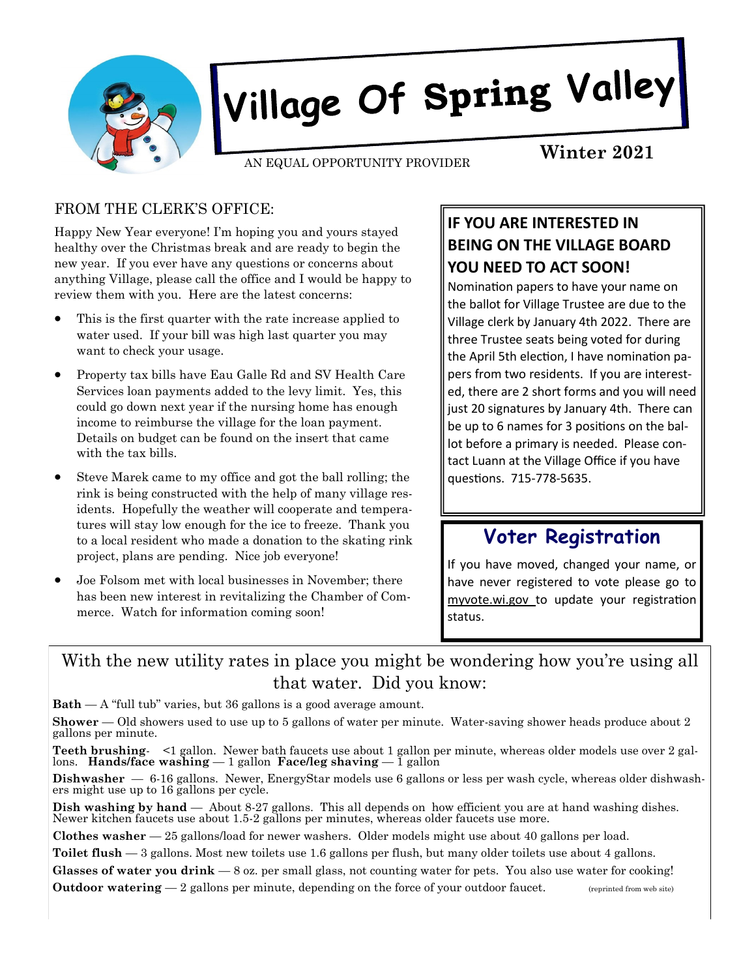

# Village Of Spring Valley

AN EQUAL OPPORTUNITY PROVIDER **Winter 2021** 

#### FROM THE CLERK'S OFFICE:

Happy New Year everyone! I'm hoping you and yours stayed healthy over the Christmas break and are ready to begin the new year. If you ever have any questions or concerns about anything Village, please call the office and I would be happy to review them with you. Here are the latest concerns:

- This is the first quarter with the rate increase applied to water used. If your bill was high last quarter you may want to check your usage.
- Property tax bills have Eau Galle Rd and SV Health Care Services loan payments added to the levy limit. Yes, this could go down next year if the nursing home has enough income to reimburse the village for the loan payment. Details on budget can be found on the insert that came with the tax bills.
- Steve Marek came to my office and got the ball rolling; the rink is being constructed with the help of many village residents. Hopefully the weather will cooperate and temperatures will stay low enough for the ice to freeze. Thank you to a local resident who made a donation to the skating rink project, plans are pending. Nice job everyone!
- Joe Folsom met with local businesses in November; there has been new interest in revitalizing the Chamber of Commerce. Watch for information coming soon!

## **IF YOU ARE INTERESTED IN BEING ON THE VILLAGE BOARD YOU NEED TO ACT SOON!**

Nomination papers to have your name on the ballot for Village Trustee are due to the Village clerk by January 4th 2022. There are three Trustee seats being voted for during the April 5th election, I have nomination papers from two residents. If you are interested, there are 2 short forms and you will need just 20 signatures by January 4th. There can be up to 6 names for 3 positions on the ballot before a primary is needed. Please contact Luann at the Village Office if you have questions. 715-778-5635.

## **Voter Registration**

If you have moved, changed your name, or have never registered to vote please go to myvote.wi.gov to update your registration status.

### With the new utility rates in place you might be wondering how you're using all that water. Did you know:

**Bath** — A "full tub" varies, but 36 gallons is a good average amount.

**Shower** — Old showers used to use up to 5 gallons of water per minute. Water-saving shower heads produce about 2 gallons per minute.

**Teeth brushing**- <1 gallon. Newer bath faucets use about 1 gallon per minute, whereas older models use over 2 gallons. **Hands/face washing** — 1 gallon **Face/leg shaving** — 1 gallon

**Dishwasher** — 6-16 gallons. Newer, EnergyStar models use 6 gallons or less per wash cycle, whereas older dishwashers might use up to 16 gallons per cycle.

**Dish washing by hand** — About 8-27 gallons. This all depends on how efficient you are at hand washing dishes. Newer kitchen faucets use about 1.5-2 gallons per minutes, whereas older faucets use more.

**Clothes washer** — 25 gallons/load for newer washers. Older models might use about 40 gallons per load.

**Toilet flush** — 3 gallons. Most new toilets use 1.6 gallons per flush, but many older toilets use about 4 gallons.

**Glasses of water you drink** — 8 oz. per small glass, not counting water for pets. You also use water for cooking!

**Outdoor watering**  $-2$  gallons per minute, depending on the force of your outdoor faucet. (reprinted from web site)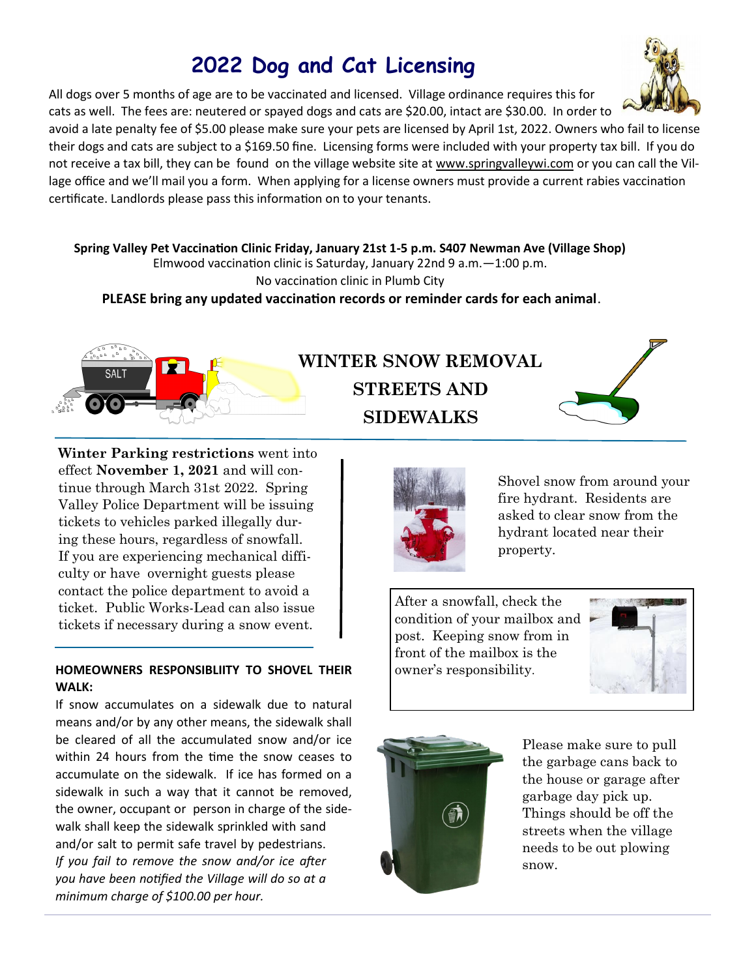# **2022 Dog and Cat Licensing**

All dogs over 5 months of age are to be vaccinated and licensed. Village ordinance requires this for cats as well. The fees are: neutered or spayed dogs and cats are \$20.00, intact are \$30.00. In order to

avoid a late penalty fee of \$5.00 please make sure your pets are licensed by April 1st, 2022. Owners who fail to license their dogs and cats are subject to a \$169.50 fine. Licensing forms were included with your property tax bill. If you do not receive a tax bill, they can be found on the village website site at www.springvalleywi.com or you can call the Village office and we'll mail you a form. When applying for a license owners must provide a current rabies vaccination certificate. Landlords please pass this information on to your tenants.

**Spring Valley Pet Vaccination Clinic Friday, January 21st 1-5 p.m. S407 Newman Ave (Village Shop)**  Elmwood vaccination clinic is Saturday, January 22nd 9 a.m.—1:00 p.m. No vaccination clinic in Plumb City

**PLEASE bring any updated vaccination records or reminder cards for each animal**.



**WINTER SNOW REMOVAL STREETS AND SIDEWALKS**



**Winter Parking restrictions** went into effect **November 1, 2021** and will continue through March 31st 2022. Spring Valley Police Department will be issuing tickets to vehicles parked illegally during these hours, regardless of snowfall. If you are experiencing mechanical difficulty or have overnight guests please contact the police department to avoid a ticket. Public Works-Lead can also issue tickets if necessary during a snow event.

#### **HOMEOWNERS RESPONSIBLIITY TO SHOVEL THEIR WALK:**

If snow accumulates on a sidewalk due to natural means and/or by any other means, the sidewalk shall be cleared of all the accumulated snow and/or ice within 24 hours from the time the snow ceases to accumulate on the sidewalk. If ice has formed on a sidewalk in such a way that it cannot be removed, the owner, occupant or person in charge of the sidewalk shall keep the sidewalk sprinkled with sand and/or salt to permit safe travel by pedestrians. *If you fail to remove the snow and/or ice after you have been notified the Village will do so at a minimum charge of \$100.00 per hour.*



Shovel snow from around your fire hydrant. Residents are asked to clear snow from the hydrant located near their property.

After a snowfall, check the condition of your mailbox and post. Keeping snow from in front of the mailbox is the owner's responsibility.





Please make sure to pull the garbage cans back to the house or garage after garbage day pick up. Things should be off the streets when the village needs to be out plowing snow.

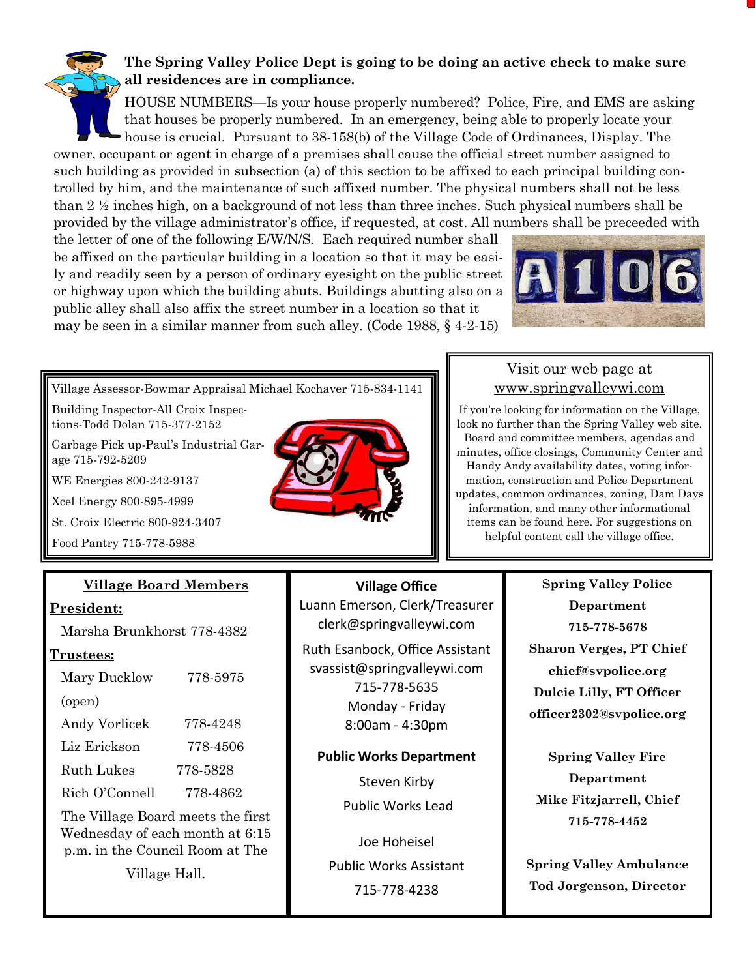#### **The Spring Valley Police Dept is going to be doing an active check to make sure all residences are in compliance.**

HOUSE NUMBERS—Is your house properly numbered? Police, Fire, and EMS are asking that houses be properly numbered. In an emergency, being able to properly locate your house is crucial. Pursuant to 38-158(b) of the Village Code of Ordinances, Display. The owner, occupant or agent in charge of a premises shall cause the official street number assigned to

such building as provided in subsection (a) of this section to be affixed to each principal building controlled by him, and the maintenance of such affixed number. The physical numbers shall not be less than 2 ½ inches high, on a background of not less than three inches. Such physical numbers shall be provided by the village administrator's office, if requested, at cost. All numbers shall be preceeded with

the letter of one of the following E/W/N/S. Each required number shall be affixed on the particular building in a location so that it may be easily and readily seen by a person of ordinary eyesight on the public street or highway upon which the building abuts. Buildings abutting also on a public alley shall also affix the street number in a location so that it may be seen in a similar manner from such alley. (Code 1988, § 4-2-15)



Village Assessor-Bowmar Appraisal Michael Kochaver 715-834-1141

Building Inspector-All Croix Inspections-Todd Dolan 715-377-2152

Garbage Pick up-Paul's Industrial Garage 715-792-5209

WE Energies 800-242-9137

Xcel Energy 800-895-4999

St. Croix Electric 800-924-3407

Food Pantry 715-778-5988



#### Visit our web page at www.springvalleywi.com

If you're looking for information on the Village, look no further than the Spring Valley web site. Board and committee members, agendas and minutes, office closings, Community Center and Handy Andy availability dates, voting information, construction and Police Department updates, common ordinances, zoning, Dam Days information, and many other informational items can be found here. For suggestions on helpful content call the village office.

#### **Village Office** Luann Emerson, Clerk/Treasurer clerk@springvalleywi.com

Ruth Esanbock, Office Assistant svassist@springvalleywi.com 715-778-5635 Monday - Friday 8:00am - 4:30pm

#### **Public Works Department**

Steven Kirby

Public Works Lead

Joe Hoheisel Public Works Assistant 715-778-4238

**Spring Valley Police Department 715-778-5678 Sharon Verges, PT Chief chief@svpolice.org Dulcie Lilly, FT Officer officer2302@svpolice.org**

**Spring Valley Fire Department Mike Fitzjarrell, Chief 715-778-4452**

**Spring Valley Ambulance Tod Jorgenson, Director**

#### **Village Board Members**

**President:**

Marsha Brunkhorst 778-4382

#### **Trustees:**

| Mary Ducklow  | 778-5975 |
|---------------|----------|
| (open)        |          |
| Andy Vorlicek | 778-4248 |
| Liz Erickson  | 778-4506 |
| Ruth Lukes    | 778-5828 |
|               |          |

Rich O'Connell 778-4862

The Village Board meets the first Wednesday of each month at 6:15 p.m. in the Council Room at The

Village Hall.